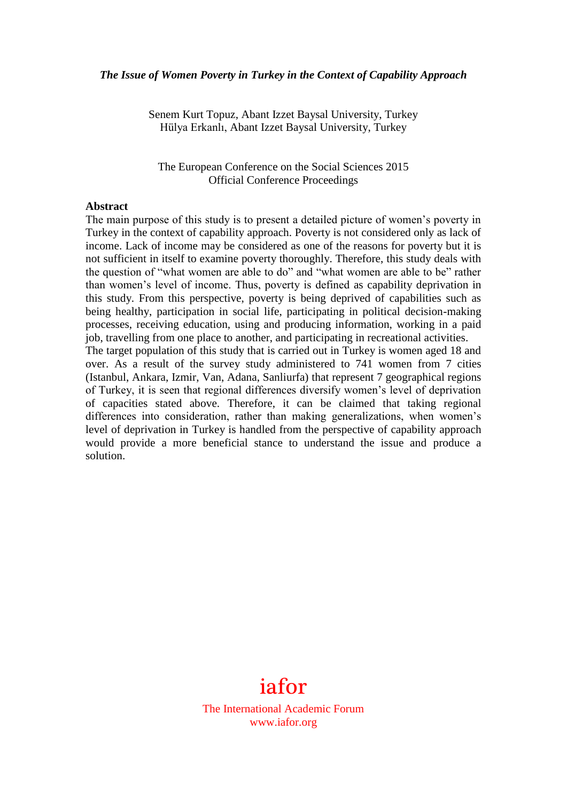#### *The Issue of Women Poverty in Turkey in the Context of Capability Approach*

Senem Kurt Topuz, Abant Izzet Baysal University, Turkey Hülya Erkanlı, Abant Izzet Baysal University, Turkey

The European Conference on the Social Sciences 2015 Official Conference Proceedings

#### **Abstract**

The main purpose of this study is to present a detailed picture of women's poverty in Turkey in the context of capability approach. Poverty is not considered only as lack of income. Lack of income may be considered as one of the reasons for poverty but it is not sufficient in itself to examine poverty thoroughly. Therefore, this study deals with the question of "what women are able to do" and "what women are able to be" rather than women's level of income. Thus, poverty is defined as capability deprivation in this study. From this perspective, poverty is being deprived of capabilities such as being healthy, participation in social life, participating in political decision-making processes, receiving education, using and producing information, working in a paid job, travelling from one place to another, and participating in recreational activities. The target population of this study that is carried out in Turkey is women aged 18 and over. As a result of the survey study administered to 741 women from 7 cities (Istanbul, Ankara, Izmir, Van, Adana, Sanliurfa) that represent 7 geographical regions of Turkey, it is seen that regional differences diversify women's level of deprivation of capacities stated above. Therefore, it can be claimed that taking regional differences into consideration, rather than making generalizations, when women's level of deprivation in Turkey is handled from the perspective of capability approach would provide a more beneficial stance to understand the issue and produce a solution.



The International Academic Forum www.iafor.org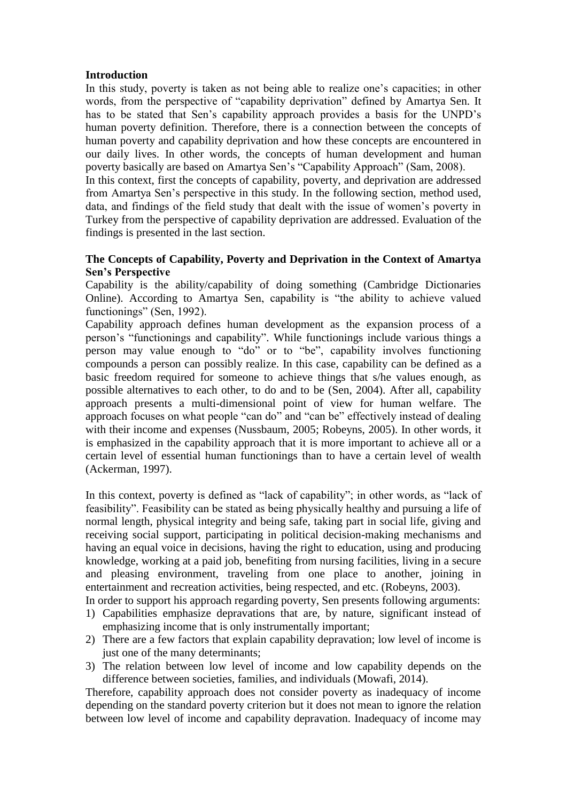## **Introduction**

In this study, poverty is taken as not being able to realize one's capacities; in other words, from the perspective of "capability deprivation" defined by Amartya Sen. It has to be stated that Sen's capability approach provides a basis for the UNPD's human poverty definition. Therefore, there is a connection between the concepts of human poverty and capability deprivation and how these concepts are encountered in our daily lives. In other words, the concepts of human development and human poverty basically are based on Amartya Sen's "Capability Approach" (Sam, 2008).

In this context, first the concepts of capability, poverty, and deprivation are addressed from Amartya Sen's perspective in this study. In the following section, method used, data, and findings of the field study that dealt with the issue of women's poverty in Turkey from the perspective of capability deprivation are addressed. Evaluation of the findings is presented in the last section.

# **The Concepts of Capability, Poverty and Deprivation in the Context of Amartya Sen's Perspective**

Capability is the ability/capability of doing something (Cambridge Dictionaries Online). According to Amartya Sen, capability is "the ability to achieve valued functionings" (Sen, 1992).

Capability approach defines human development as the expansion process of a person's "functionings and capability". While functionings include various things a person may value enough to "do" or to "be", capability involves functioning compounds a person can possibly realize. In this case, capability can be defined as a basic freedom required for someone to achieve things that s/he values enough, as possible alternatives to each other, to do and to be (Sen, 2004). After all, capability approach presents a multi-dimensional point of view for human welfare. The approach focuses on what people "can do" and "can be" effectively instead of dealing with their income and expenses (Nussbaum, 2005; Robeyns, 2005). In other words, it is emphasized in the capability approach that it is more important to achieve all or a certain level of essential human functionings than to have a certain level of wealth (Ackerman, 1997).

In this context, poverty is defined as "lack of capability"; in other words, as "lack of feasibility". Feasibility can be stated as being physically healthy and pursuing a life of normal length, physical integrity and being safe, taking part in social life, giving and receiving social support, participating in political decision-making mechanisms and having an equal voice in decisions, having the right to education, using and producing knowledge, working at a paid job, benefiting from nursing facilities, living in a secure and pleasing environment, traveling from one place to another, joining in entertainment and recreation activities, being respected, and etc. (Robeyns, 2003).

- In order to support his approach regarding poverty, Sen presents following arguments: 1) Capabilities emphasize depravations that are, by nature, significant instead of emphasizing income that is only instrumentally important;
- 2) There are a few factors that explain capability depravation; low level of income is just one of the many determinants;
- 3) The relation between low level of income and low capability depends on the difference between societies, families, and individuals (Mowafi, 2014).

Therefore, capability approach does not consider poverty as inadequacy of income depending on the standard poverty criterion but it does not mean to ignore the relation between low level of income and capability depravation. Inadequacy of income may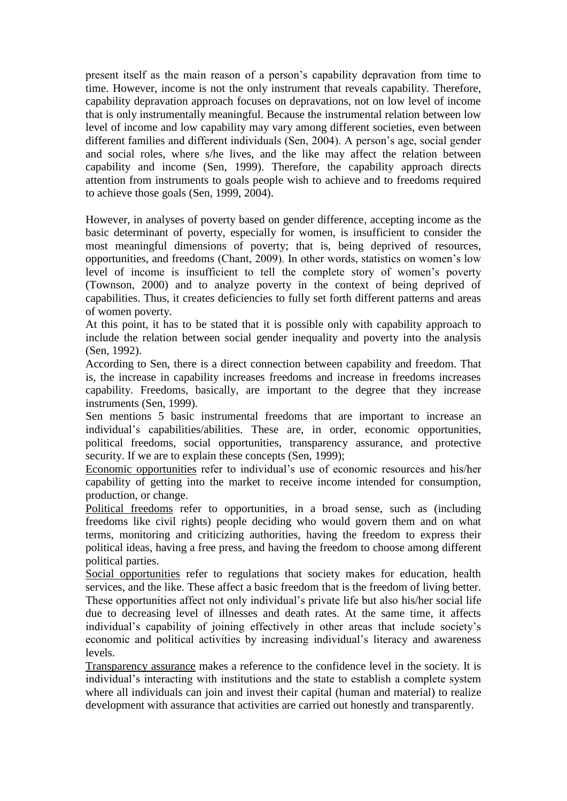present itself as the main reason of a person's capability depravation from time to time. However, income is not the only instrument that reveals capability. Therefore, capability depravation approach focuses on depravations, not on low level of income that is only instrumentally meaningful. Because the instrumental relation between low level of income and low capability may vary among different societies, even between different families and different individuals (Sen, 2004). A person's age, social gender and social roles, where s/he lives, and the like may affect the relation between capability and income (Sen, 1999). Therefore, the capability approach directs attention from instruments to goals people wish to achieve and to freedoms required to achieve those goals (Sen, 1999, 2004).

However, in analyses of poverty based on gender difference, accepting income as the basic determinant of poverty, especially for women, is insufficient to consider the most meaningful dimensions of poverty; that is, being deprived of resources, opportunities, and freedoms (Chant, 2009). In other words, statistics on women's low level of income is insufficient to tell the complete story of women's poverty (Townson, 2000) and to analyze poverty in the context of being deprived of capabilities. Thus, it creates deficiencies to fully set forth different patterns and areas of women poverty.

At this point, it has to be stated that it is possible only with capability approach to include the relation between social gender inequality and poverty into the analysis (Sen, 1992).

According to Sen, there is a direct connection between capability and freedom. That is, the increase in capability increases freedoms and increase in freedoms increases capability. Freedoms, basically, are important to the degree that they increase instruments (Sen, 1999).

Sen mentions 5 basic instrumental freedoms that are important to increase an individual's capabilities/abilities. These are, in order, economic opportunities, political freedoms, social opportunities, transparency assurance, and protective security. If we are to explain these concepts (Sen, 1999);

Economic opportunities refer to individual's use of economic resources and his/her capability of getting into the market to receive income intended for consumption, production, or change.

Political freedoms refer to opportunities, in a broad sense, such as (including freedoms like civil rights) people deciding who would govern them and on what terms, monitoring and criticizing authorities, having the freedom to express their political ideas, having a free press, and having the freedom to choose among different political parties.

Social opportunities refer to regulations that society makes for education, health services, and the like. These affect a basic freedom that is the freedom of living better. These opportunities affect not only individual's private life but also his/her social life due to decreasing level of illnesses and death rates. At the same time, it affects individual's capability of joining effectively in other areas that include society's economic and political activities by increasing individual's literacy and awareness levels.

Transparency assurance makes a reference to the confidence level in the society. It is individual's interacting with institutions and the state to establish a complete system where all individuals can join and invest their capital (human and material) to realize development with assurance that activities are carried out honestly and transparently.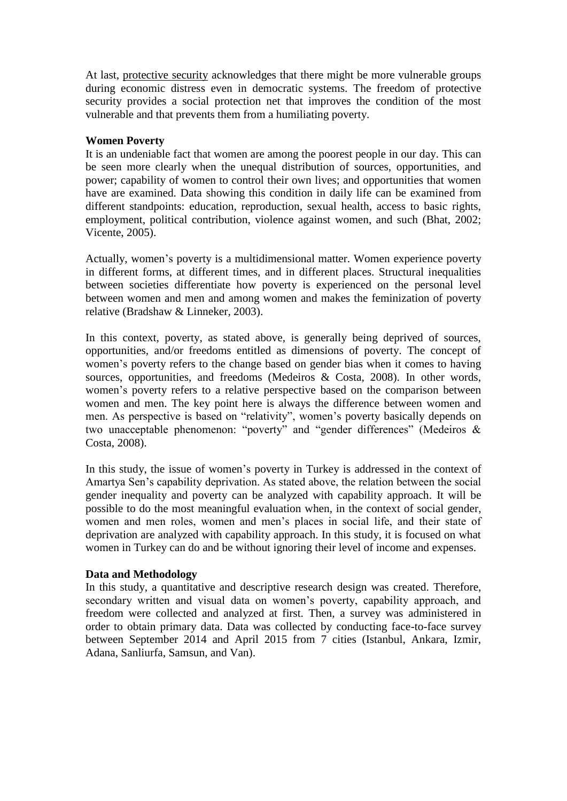At last, protective security acknowledges that there might be more vulnerable groups during economic distress even in democratic systems. The freedom of protective security provides a social protection net that improves the condition of the most vulnerable and that prevents them from a humiliating poverty.

# **Women Poverty**

It is an undeniable fact that women are among the poorest people in our day. This can be seen more clearly when the unequal distribution of sources, opportunities, and power; capability of women to control their own lives; and opportunities that women have are examined. Data showing this condition in daily life can be examined from different standpoints: education, reproduction, sexual health, access to basic rights, employment, political contribution, violence against women, and such (Bhat, 2002; Vicente, 2005).

Actually, women's poverty is a multidimensional matter. Women experience poverty in different forms, at different times, and in different places. Structural inequalities between societies differentiate how poverty is experienced on the personal level between women and men and among women and makes the feminization of poverty relative (Bradshaw & Linneker, 2003).

In this context, poverty, as stated above, is generally being deprived of sources, opportunities, and/or freedoms entitled as dimensions of poverty. The concept of women's poverty refers to the change based on gender bias when it comes to having sources, opportunities, and freedoms (Medeiros & Costa, 2008). In other words, women's poverty refers to a relative perspective based on the comparison between women and men. The key point here is always the difference between women and men. As perspective is based on "relativity", women's poverty basically depends on two unacceptable phenomenon: "poverty" and "gender differences" (Medeiros & Costa, 2008).

In this study, the issue of women's poverty in Turkey is addressed in the context of Amartya Sen's capability deprivation. As stated above, the relation between the social gender inequality and poverty can be analyzed with capability approach. It will be possible to do the most meaningful evaluation when, in the context of social gender, women and men roles, women and men's places in social life, and their state of deprivation are analyzed with capability approach. In this study, it is focused on what women in Turkey can do and be without ignoring their level of income and expenses.

## **Data and Methodology**

In this study, a quantitative and descriptive research design was created. Therefore, secondary written and visual data on women's poverty, capability approach, and freedom were collected and analyzed at first. Then, a survey was administered in order to obtain primary data. Data was collected by conducting face-to-face survey between September 2014 and April 2015 from 7 cities (Istanbul, Ankara, Izmir, Adana, Sanliurfa, Samsun, and Van).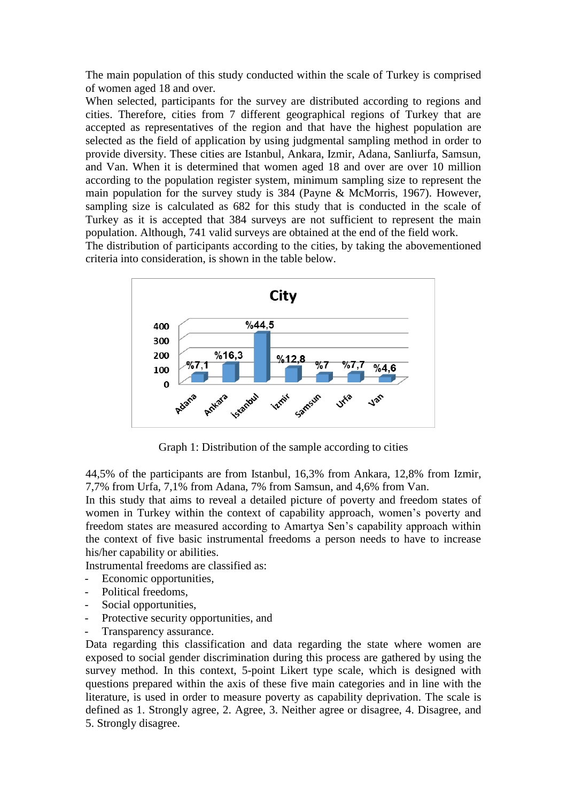The main population of this study conducted within the scale of Turkey is comprised of women aged 18 and over.

When selected, participants for the survey are distributed according to regions and cities. Therefore, cities from 7 different geographical regions of Turkey that are accepted as representatives of the region and that have the highest population are selected as the field of application by using judgmental sampling method in order to provide diversity. These cities are Istanbul, Ankara, Izmir, Adana, Sanliurfa, Samsun, and Van. When it is determined that women aged 18 and over are over 10 million according to the population register system, minimum sampling size to represent the main population for the survey study is 384 (Payne & McMorris, 1967). However, sampling size is calculated as 682 for this study that is conducted in the scale of Turkey as it is accepted that 384 surveys are not sufficient to represent the main population. Although, 741 valid surveys are obtained at the end of the field work.

The distribution of participants according to the cities, by taking the abovementioned criteria into consideration, is shown in the table below.



Graph 1: Distribution of the sample according to cities

44,5% of the participants are from Istanbul, 16,3% from Ankara, 12,8% from Izmir, 7,7% from Urfa, 7,1% from Adana, 7% from Samsun, and 4,6% from Van.

In this study that aims to reveal a detailed picture of poverty and freedom states of women in Turkey within the context of capability approach, women's poverty and freedom states are measured according to Amartya Sen's capability approach within the context of five basic instrumental freedoms a person needs to have to increase his/her capability or abilities.

Instrumental freedoms are classified as:

- Economic opportunities,
- Political freedoms,
- Social opportunities,
- Protective security opportunities, and
- Transparency assurance.

Data regarding this classification and data regarding the state where women are exposed to social gender discrimination during this process are gathered by using the survey method. In this context, 5-point Likert type scale, which is designed with questions prepared within the axis of these five main categories and in line with the literature, is used in order to measure poverty as capability deprivation. The scale is defined as 1. Strongly agree, 2. Agree, 3. Neither agree or disagree, 4. Disagree, and 5. Strongly disagree.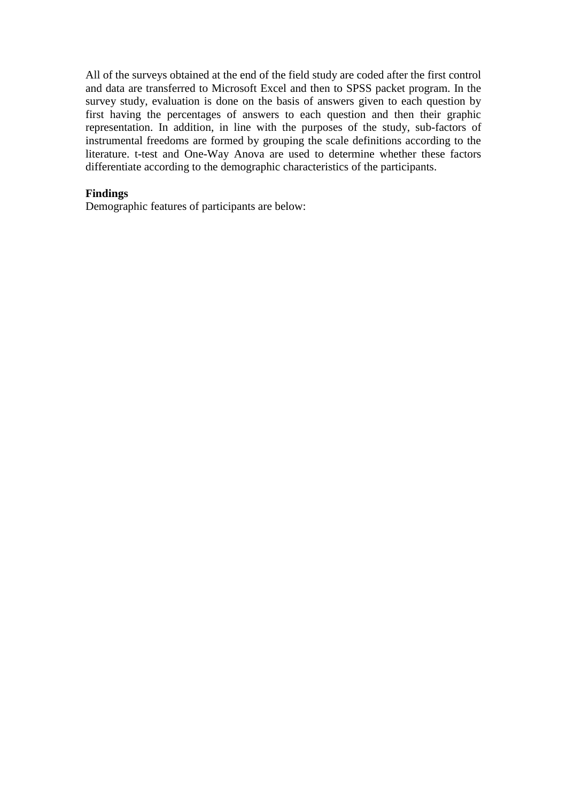All of the surveys obtained at the end of the field study are coded after the first control and data are transferred to Microsoft Excel and then to SPSS packet program. In the survey study, evaluation is done on the basis of answers given to each question by first having the percentages of answers to each question and then their graphic representation. In addition, in line with the purposes of the study, sub-factors of instrumental freedoms are formed by grouping the scale definitions according to the literature. t-test and One-Way Anova are used to determine whether these factors differentiate according to the demographic characteristics of the participants.

# **Findings**

Demographic features of participants are below: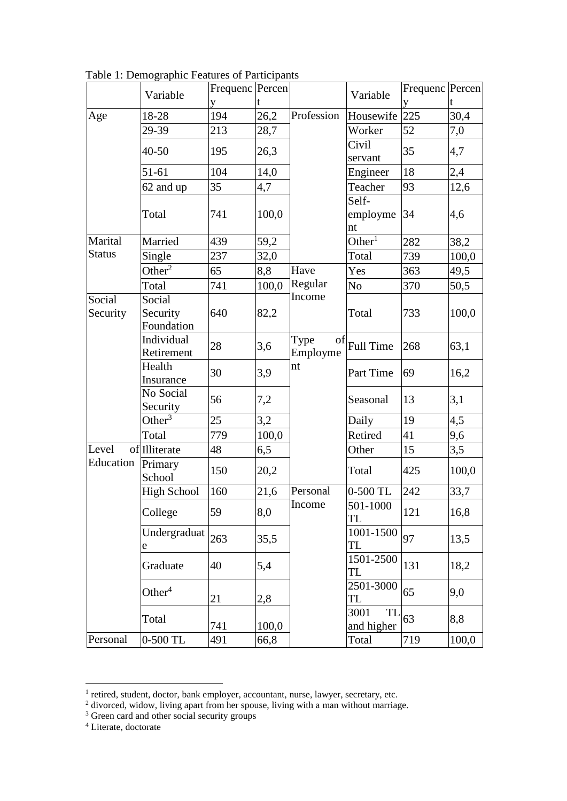|                    | Variable                         | Frequenc Percen |       |                        | Variable                 | Frequenc Percen |       |
|--------------------|----------------------------------|-----------------|-------|------------------------|--------------------------|-----------------|-------|
|                    |                                  | V               |       |                        |                          | V               |       |
| Age                | 18-28                            | 194             | 26,2  | Profession             | Housewife                | 225             | 30,4  |
|                    | 29-39                            | 213             | 28,7  |                        | Worker                   | 52              | 7,0   |
|                    | 40-50                            | 195             | 26,3  |                        | Civil<br>servant         | 35              | 4,7   |
|                    | $51 - 61$                        | 104             | 14,0  |                        | Engineer                 | 18              | 2,4   |
|                    | 62 and up                        | 35              | 4,7   |                        | Teacher                  | 93              | 12,6  |
|                    | Total                            | 741             | 100,0 |                        | Self-<br>employme<br>nt  | 34              | 4,6   |
| Marital            | Married                          | 439             | 59,2  |                        | Other <sup>1</sup>       | 282             | 38,2  |
| <b>Status</b>      | Single                           | 237             | 32,0  |                        | Total                    | 739             | 100,0 |
|                    | Other <sup>2</sup>               | 65              | 8,8   | Have                   | Yes                      | 363             | 49,5  |
|                    | Total                            | 741             | 100,0 | Regular                | N <sub>o</sub>           | 370             | 50,5  |
| Social<br>Security | Social<br>Security<br>Foundation | 640             | 82,2  | Income                 | Total                    | 733             | 100,0 |
|                    | Individual<br>Retirement         | 28              | 3,6   | Type<br>of<br>Employme | <b>Full Time</b>         | 268             | 63,1  |
|                    | Health<br>Insurance              | 30              | 3,9   | nt                     | Part Time                | 69              | 16,2  |
|                    | No Social<br>Security            | 56              | 7,2   |                        | Seasonal                 | 13              | 3,1   |
|                    | Other <sup>3</sup>               | 25              | 3,2   |                        | Daily                    | 19              | 4,5   |
|                    | Total                            | 779             | 100,0 |                        | Retired                  | 41              | 9,6   |
| Level              | of Illiterate                    | 48              | 6,5   |                        | Other                    | 15              | 3,5   |
| Education          | Primary<br>School                | 150             | 20,2  |                        | Total                    | 425             | 100,0 |
|                    | <b>High School</b>               | 160             | 21,6  | Personal               | 0-500 TL                 | 242             | 33,7  |
|                    | College                          | 59              | 8,0   | Income                 | 501-1000<br>TL           | 121             | 16,8  |
|                    | Undergraduat<br>e                | 263             | 35,5  |                        | $1001 - 1500$<br>TL      | 97              | 13,5  |
|                    | Graduate                         | 40              | 5,4   |                        | 1501-2500<br>TL          | 131             | 18,2  |
|                    | Other $4$                        | 21              | 2,8   |                        | 2501-3000<br>TL          | 65              | 9,0   |
|                    | Total                            | 741             | 100,0 |                        | 3001<br>TL<br>and higher | 63              | 8,8   |
| Personal           | 0-500 TL                         | 491             | 66,8  |                        | Total                    | 719             | 100,0 |

Table 1: Demographic Features of Participants

- <sup>3</sup> Green card and other social security groups
- <sup>4</sup> Literate, doctorate

 1 retired, student, doctor, bank employer, accountant, nurse, lawyer, secretary, etc.

 $2$  divorced, widow, living apart from her spouse, living with a man without marriage.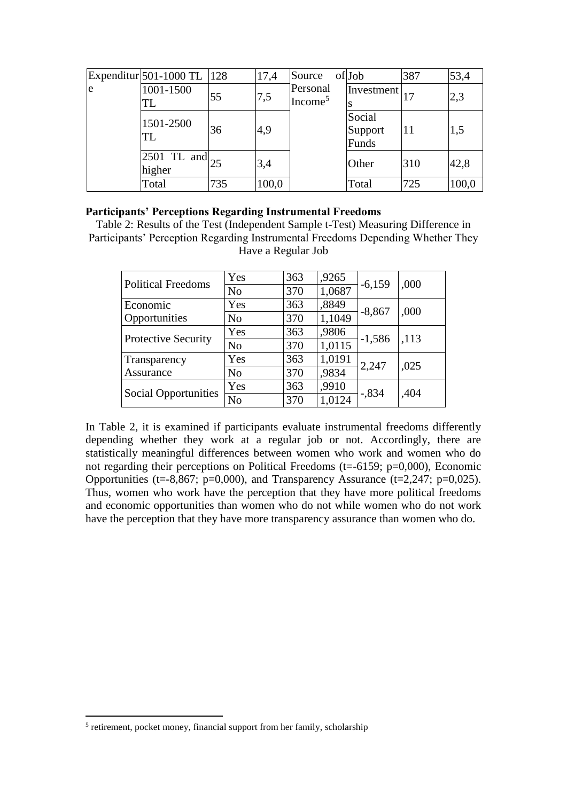|    | Expenditur 501-1000 TL  128         |     | 17,4  | Source                          | of Job                     | 387 | 53,4  |
|----|-------------------------------------|-----|-------|---------------------------------|----------------------------|-----|-------|
| le | 1001-1500<br>TL                     | 55  | 7,5   | Personal<br>Income <sup>5</sup> | Investment                 |     | 2,3   |
|    | 1501-2500<br>TL                     | 36  | 4,9   |                                 | Social<br>Support<br>Funds | 11  | 1,5   |
|    | $ 2501 \text{ TL and} 25$<br>higher |     | 3,4   |                                 | Other                      | 310 | 42,8  |
|    | Total                               | 735 | 100,0 |                                 | Total                      | 725 | 100,0 |

### **Participants' Perceptions Regarding Instrumental Freedoms**

Table 2: Results of the Test (Independent Sample t-Test) Measuring Difference in Participants' Perception Regarding Instrumental Freedoms Depending Whether They Have a Regular Job

| <b>Political Freedoms</b>   | Yes            | 363 | ,9265  | $-6,159$ | ,000 |
|-----------------------------|----------------|-----|--------|----------|------|
|                             | N <sub>o</sub> | 370 | 1,0687 |          |      |
| Economic                    | Yes            | 363 | ,8849  | $-8,867$ | ,000 |
| Opportunities               | No             | 370 | 1,1049 |          |      |
|                             | Yes            | 363 | ,9806  | $-1,586$ | ,113 |
| Protective Security         | N <sub>o</sub> | 370 | 1,0115 |          |      |
| Transparency                | Yes            | 363 | 1,0191 | 2,247    | ,025 |
| Assurance                   | N <sub>o</sub> | 370 | ,9834  |          |      |
|                             | Yes            | 363 | ,9910  | $-.834$  | ,404 |
| <b>Social Opportunities</b> | N <sub>o</sub> | 370 | 1,0124 |          |      |

In Table 2, it is examined if participants evaluate instrumental freedoms differently depending whether they work at a regular job or not. Accordingly, there are statistically meaningful differences between women who work and women who do not regarding their perceptions on Political Freedoms (t=-6159; p=0,000), Economic Opportunities (t=-8,867; p=0,000), and Transparency Assurance (t=2,247; p=0,025). Thus, women who work have the perception that they have more political freedoms and economic opportunities than women who do not while women who do not work have the perception that they have more transparency assurance than women who do.

 $\overline{a}$ 

<sup>&</sup>lt;sup>5</sup> retirement, pocket money, financial support from her family, scholarship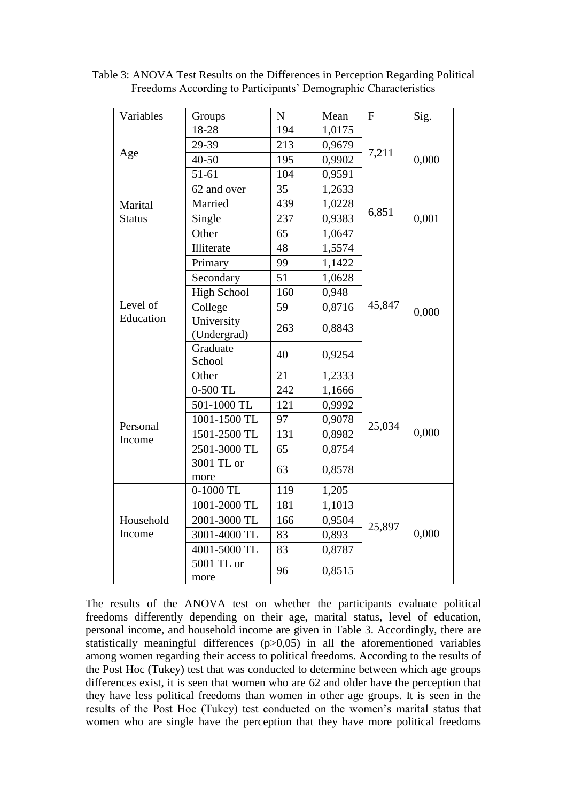| Variables     | Groups                    | $\mathbf N$ | Mean   | ${\bf F}$ | Sig.  |
|---------------|---------------------------|-------------|--------|-----------|-------|
|               | 18-28                     | 194         | 1,0175 |           |       |
|               | 29-39                     | 213         | 0,9679 |           | 0,000 |
| Age           | $40 - 50$                 | 195         | 0,9902 | 7,211     |       |
|               | 51-61                     | 104         | 0,9591 |           |       |
|               | 62 and over               | 35          | 1,2633 |           |       |
| Marital       | Married                   | 439         | 1,0228 |           | 0,001 |
| <b>Status</b> | Single                    | 237         | 0,9383 | 6,851     |       |
|               | Other                     | 65          | 1,0647 |           |       |
|               | Illiterate                | 48          | 1,5574 |           |       |
|               | Primary                   | 99          | 1,1422 |           | 0,000 |
|               | Secondary                 | 51          | 1,0628 |           |       |
|               | <b>High School</b>        | 160         | 0,948  |           |       |
| Level of      | College                   | 59          | 0,8716 | 45,847    |       |
| Education     | University<br>(Undergrad) | 263         | 0,8843 |           |       |
|               | Graduate<br>School        | 40          | 0,9254 |           |       |
|               | Other                     | 21          | 1,2333 |           |       |
|               | 0-500 TL                  | 242         | 1,1666 |           |       |
|               | 501-1000 TL               | 121         | 0,9992 |           |       |
| Personal      | 1001-1500 TL              | 97          | 0,9078 | 25,034    |       |
| Income        | 1501-2500 TL              | 131         | 0,8982 |           | 0,000 |
|               | 2501-3000 TL              | 65          | 0,8754 |           |       |
|               | 3001 TL or<br>more        | 63          | 0,8578 |           |       |
|               | 0-1000 TL                 | 119         | 1,205  |           |       |
|               | 1001-2000 TL              | 181         | 1,1013 |           |       |
| Household     | 2001-3000 TL              | 166         | 0,9504 |           |       |
| Income        | 3001-4000 TL              | 83          | 0,893  | 25,897    | 0,000 |
|               | 4001-5000 TL              | 83          | 0,8787 |           |       |
|               | 5001 TL or<br>more        | 96          | 0,8515 |           |       |

Table 3: ANOVA Test Results on the Differences in Perception Regarding Political Freedoms According to Participants' Demographic Characteristics

The results of the ANOVA test on whether the participants evaluate political freedoms differently depending on their age, marital status, level of education, personal income, and household income are given in Table 3. Accordingly, there are statistically meaningful differences  $(p>0.05)$  in all the aforementioned variables among women regarding their access to political freedoms. According to the results of the Post Hoc (Tukey) test that was conducted to determine between which age groups differences exist, it is seen that women who are 62 and older have the perception that they have less political freedoms than women in other age groups. It is seen in the results of the Post Hoc (Tukey) test conducted on the women's marital status that women who are single have the perception that they have more political freedoms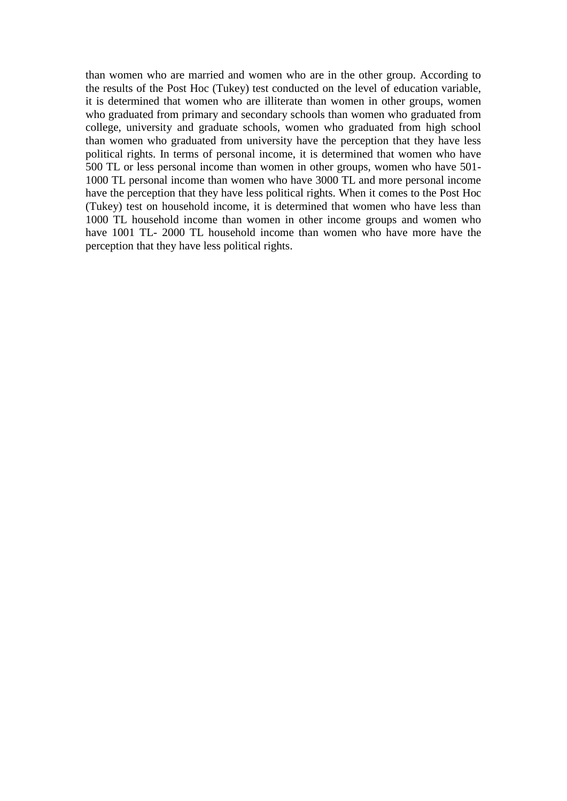than women who are married and women who are in the other group. According to the results of the Post Hoc (Tukey) test conducted on the level of education variable, it is determined that women who are illiterate than women in other groups, women who graduated from primary and secondary schools than women who graduated from college, university and graduate schools, women who graduated from high school than women who graduated from university have the perception that they have less political rights. In terms of personal income, it is determined that women who have 500 TL or less personal income than women in other groups, women who have 501- 1000 TL personal income than women who have 3000 TL and more personal income have the perception that they have less political rights. When it comes to the Post Hoc (Tukey) test on household income, it is determined that women who have less than 1000 TL household income than women in other income groups and women who have 1001 TL- 2000 TL household income than women who have more have the perception that they have less political rights.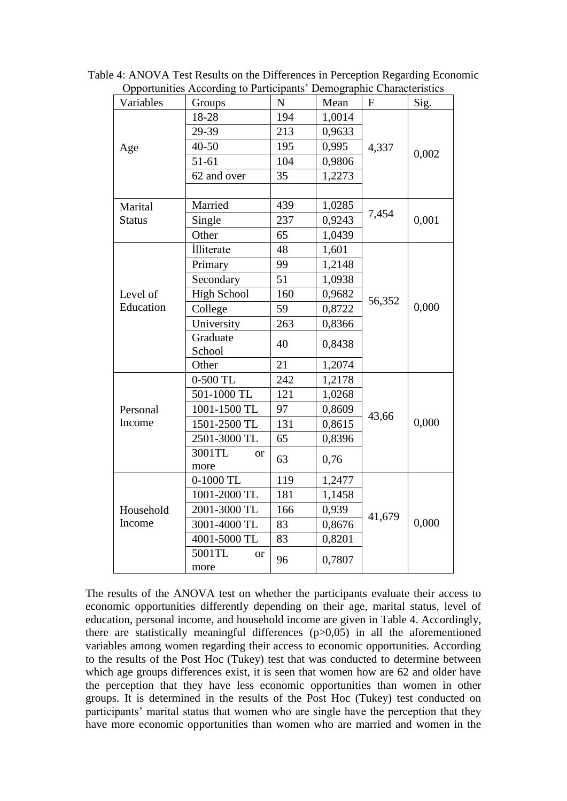| Variables     | $\sigma$ portaintes recording to Fundapully Demographic Characteristics<br>Groups | ${\bf N}$ | Mean   | $\mathbf{F}$ | Sig.  |
|---------------|-----------------------------------------------------------------------------------|-----------|--------|--------------|-------|
| Age           | 18-28                                                                             | 194       | 1,0014 |              |       |
|               | 29-39                                                                             | 213       | 0,9633 |              | 0,002 |
|               | $40 - 50$                                                                         | 195       | 0,995  | 4,337        |       |
|               | $51 - 61$                                                                         | 104       | 0,9806 |              |       |
|               | 62 and over                                                                       | 35        | 1,2273 |              |       |
|               |                                                                                   |           |        |              |       |
| Marital       | Married                                                                           | 439       | 1,0285 |              |       |
| <b>Status</b> | Single                                                                            | 237       | 0,9243 | 7,454        | 0,001 |
|               | Other                                                                             | 65        | 1,0439 |              |       |
|               | İlliterate                                                                        | 48        | 1,601  |              |       |
|               | Primary                                                                           | 99        | 1,2148 | 56,352       | 0,000 |
|               | Secondary                                                                         | 51        | 1,0938 |              |       |
| Level of      | <b>High School</b>                                                                | 160       | 0,9682 |              |       |
| Education     | College                                                                           | 59        | 0,8722 |              |       |
|               | University                                                                        | 263       | 0,8366 |              |       |
|               | Graduate<br>School                                                                | 40        | 0,8438 |              |       |
|               | Other                                                                             | 21        | 1,2074 |              |       |
|               | $0-500$ TL                                                                        | 242       | 1,2178 |              |       |
|               | 501-1000 TL                                                                       | 121       | 1,0268 |              |       |
| Personal      | 1001-1500 TL                                                                      | 97        | 0,8609 | 43,66        |       |
| Income        | 1501-2500 TL                                                                      | 131       | 0,8615 |              | 0,000 |
|               | 2501-3000 TL                                                                      | 65        | 0,8396 |              |       |
|               | 3001TL<br><b>or</b>                                                               | 63        | 0,76   |              |       |
|               | more                                                                              |           |        |              |       |
|               | $0-1000$ TL                                                                       | 119       | 1,2477 |              |       |
|               | 1001-2000 TL                                                                      | 181       | 1,1458 | 41,679       |       |
| Household     | 2001-3000 TL                                                                      | 166       | 0,939  |              |       |
| Income        | 3001-4000 TL                                                                      | 83        | 0,8676 |              | 0,000 |
|               | 4001-5000 TL                                                                      | 83        | 0,8201 |              |       |
|               | 5001TL<br><sub>or</sub><br>more                                                   | 96        | 0,7807 |              |       |

Table 4: ANOVA Test Results on the Differences in Perception Regarding Economic Opportunities According to Participants' Demographic Characteristics

The results of the ANOVA test on whether the participants evaluate their access to economic opportunities differently depending on their age, marital status, level of education, personal income, and household income are given in Table 4. Accordingly, there are statistically meaningful differences  $(p>0,05)$  in all the aforementioned variables among women regarding their access to economic opportunities. According to the results of the Post Hoc (Tukey) test that was conducted to determine between which age groups differences exist, it is seen that women how are 62 and older have the perception that they have less economic opportunities than women in other groups. It is determined in the results of the Post Hoc (Tukey) test conducted on participants' marital status that women who are single have the perception that they have more economic opportunities than women who are married and women in the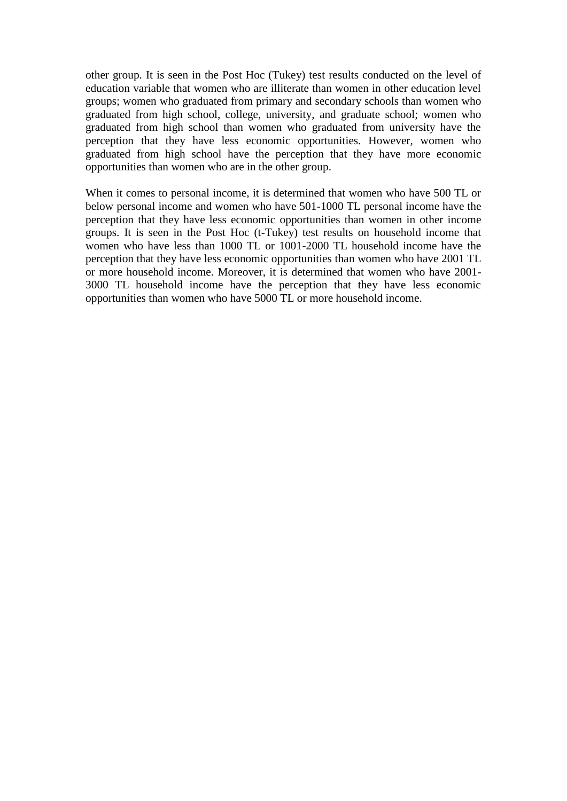other group. It is seen in the Post Hoc (Tukey) test results conducted on the level of education variable that women who are illiterate than women in other education level groups; women who graduated from primary and secondary schools than women who graduated from high school, college, university, and graduate school; women who graduated from high school than women who graduated from university have the perception that they have less economic opportunities. However, women who graduated from high school have the perception that they have more economic opportunities than women who are in the other group.

When it comes to personal income, it is determined that women who have 500 TL or below personal income and women who have 501-1000 TL personal income have the perception that they have less economic opportunities than women in other income groups. It is seen in the Post Hoc (t-Tukey) test results on household income that women who have less than 1000 TL or 1001-2000 TL household income have the perception that they have less economic opportunities than women who have 2001 TL or more household income. Moreover, it is determined that women who have 2001- 3000 TL household income have the perception that they have less economic opportunities than women who have 5000 TL or more household income.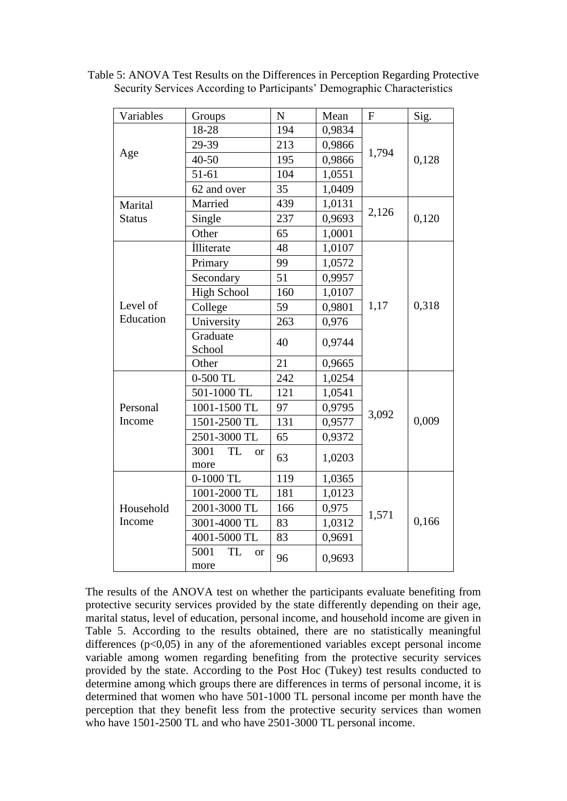| Variables     | Groups                             | $\mathbf N$ | Mean   | $\mathbf{F}$ | Sig.  |
|---------------|------------------------------------|-------------|--------|--------------|-------|
|               | 18-28                              | 194         | 0,9834 |              | 0,128 |
|               | 29-39                              | 213         | 0,9866 |              |       |
| Age           | 40-50                              | 195         | 0,9866 | 1,794        |       |
|               | $51 - 61$                          | 104         | 1,0551 |              |       |
|               | 62 and over                        | 35          | 1,0409 |              |       |
| Marital       | Married                            | 439         | 1,0131 |              |       |
| <b>Status</b> | Single                             | 237         | 0,9693 | 2,126        | 0,120 |
|               | Other                              | 65          | 1,0001 |              |       |
|               | İlliterate                         | 48          | 1,0107 |              |       |
|               | Primary                            | 99          | 1,0572 |              | 0,318 |
|               | Secondary                          | 51          | 0,9957 |              |       |
|               | <b>High School</b>                 | 160         | 1,0107 |              |       |
| Level of      | College                            | 59          | 0,9801 | 1,17         |       |
| Education     | University                         | 263         | 0,976  |              |       |
|               | Graduate                           | 40          | 0,9744 |              |       |
|               | School                             |             |        |              |       |
|               | Other                              | 21          | 0,9665 |              |       |
|               | 0-500 TL                           | 242         | 1,0254 |              | 0,009 |
|               | 501-1000 TL                        | 121         | 1,0541 |              |       |
| Personal      | 1001-1500 TL                       | 97          | 0,9795 | 3,092        |       |
| Income        | 1501-2500 TL                       | 131         | 0,9577 |              |       |
|               | 2501-3000 TL                       | 65          | 0,9372 |              |       |
|               | <b>TL</b><br>3001<br><b>or</b>     | 63          | 1,0203 |              |       |
|               | more                               |             |        |              |       |
|               | $0-1000$ TL                        | 119         | 1,0365 |              |       |
|               | 1001-2000 TL                       | 181         | 1,0123 | 1,571        |       |
| Household     | 2001-3000 TL                       | 166         | 0,975  |              |       |
| Income        | 3001-4000 TL                       | 83          | 1,0312 |              | 0,166 |
|               | 4001-5000 TL                       | 83          | 0,9691 |              |       |
|               | 5001<br><b>TL</b><br><sub>or</sub> | 96          | 0,9693 |              |       |
|               | more                               |             |        |              |       |

Table 5: ANOVA Test Results on the Differences in Perception Regarding Protective Security Services According to Participants' Demographic Characteristics

The results of the ANOVA test on whether the participants evaluate benefiting from protective security services provided by the state differently depending on their age, marital status, level of education, personal income, and household income are given in Table 5. According to the results obtained, there are no statistically meaningful differences  $(p<0.05)$  in any of the aforementioned variables except personal income variable among women regarding benefiting from the protective security services provided by the state. According to the Post Hoc (Tukey) test results conducted to determine among which groups there are differences in terms of personal income, it is determined that women who have 501-1000 TL personal income per month have the perception that they benefit less from the protective security services than women who have 1501-2500 TL and who have 2501-3000 TL personal income.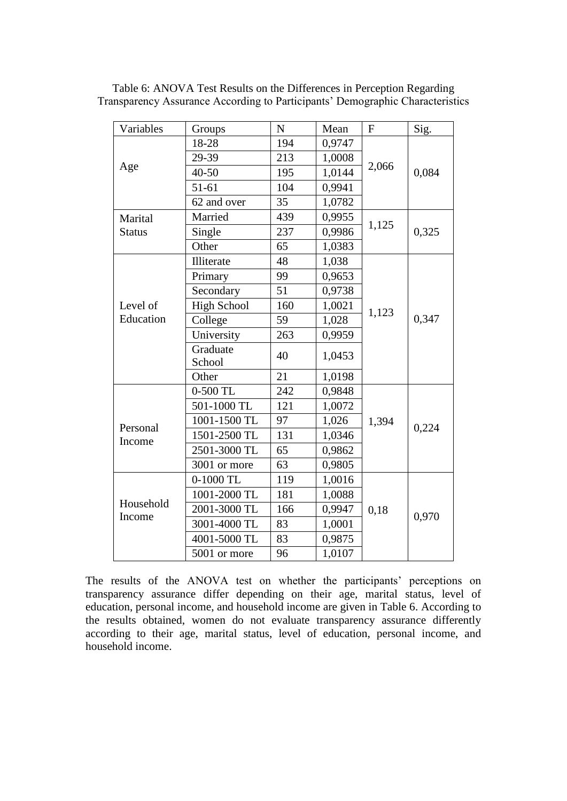| Variables          | Groups             | $\mathbf N$ | Mean   | ${\bf F}$ | Sig.  |
|--------------------|--------------------|-------------|--------|-----------|-------|
|                    | 18-28              | 194         | 0,9747 |           | 0,084 |
|                    | 29-39              | 213         | 1,0008 |           |       |
| Age                | $40 - 50$          | 195         | 1,0144 | 2,066     |       |
|                    | $51 - 61$          | 104         | 0,9941 |           |       |
|                    | 62 and over        | 35          | 1,0782 |           |       |
| Marital            | Married            | 439         | 0,9955 |           |       |
| <b>Status</b>      | Single             | 237         | 0,9986 | 1,125     | 0,325 |
|                    | Other              | 65          | 1,0383 |           |       |
|                    | Illiterate         | 48          | 1,038  |           |       |
|                    | Primary            | 99          | 0,9653 |           | 0,347 |
|                    | Secondary          | 51          | 0,9738 | 1,123     |       |
| Level of           | <b>High School</b> | 160         | 1,0021 |           |       |
| Education          | College            | 59          | 1,028  |           |       |
|                    | University         | 263         | 0,9959 |           |       |
|                    | Graduate<br>School | 40          | 1,0453 |           |       |
|                    | Other              | 21          | 1,0198 |           |       |
|                    | 0-500 TL           | 242         | 0,9848 |           |       |
|                    | 501-1000 TL        | 121         | 1,0072 |           |       |
|                    | 1001-1500 TL       | 97          | 1,026  | 1,394     |       |
| Personal<br>Income | 1501-2500 TL       | 131         | 1,0346 |           | 0,224 |
|                    | 2501-3000 TL       | 65          | 0,9862 |           |       |
|                    | 3001 or more       | 63          | 0,9805 |           |       |
|                    | 0-1000 TL          | 119         | 1,0016 |           |       |
|                    | 1001-2000 TL       | 181         | 1,0088 |           |       |
| Household          | 2001-3000 TL       | 166         | 0,9947 | 0,18      | 0,970 |
| Income             | 3001-4000 TL       | 83          | 1,0001 |           |       |
|                    | 4001-5000 TL       | 83          | 0,9875 |           |       |
|                    | 5001 or more       | 96          | 1,0107 |           |       |

Table 6: ANOVA Test Results on the Differences in Perception Regarding Transparency Assurance According to Participants' Demographic Characteristics

The results of the ANOVA test on whether the participants' perceptions on transparency assurance differ depending on their age, marital status, level of education, personal income, and household income are given in Table 6. According to the results obtained, women do not evaluate transparency assurance differently according to their age, marital status, level of education, personal income, and household income.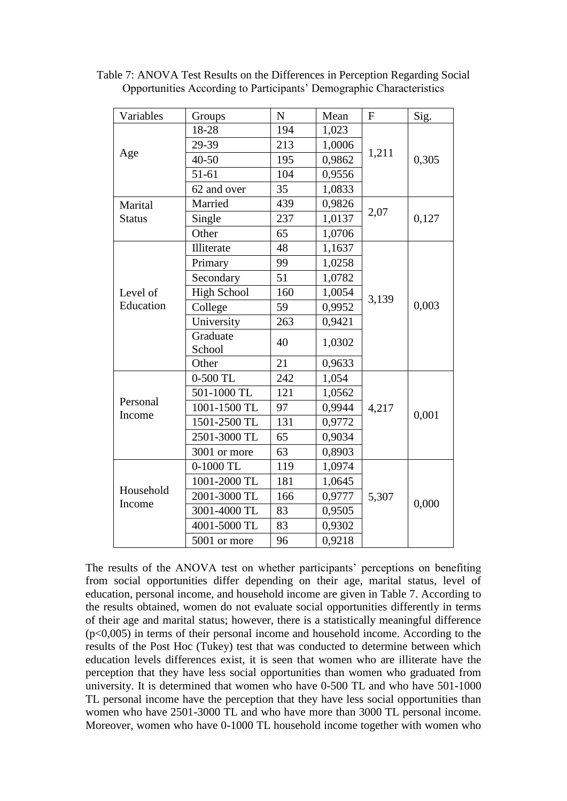| Variables     | Groups             | $\mathbf N$ | Mean   | $\mathbf{F}$ | Sig.  |
|---------------|--------------------|-------------|--------|--------------|-------|
|               | 18-28              | 194         | 1,023  |              | 0,305 |
|               | 29-39              | 213         | 1,0006 |              |       |
| Age           | $40 - 50$          | 195         | 0,9862 | 1,211        |       |
|               | $51 - 61$          | 104         | 0,9556 |              |       |
|               | 62 and over        | 35          | 1,0833 |              |       |
| Marital       | Married            | 439         | 0,9826 |              |       |
| <b>Status</b> | Single             | 237         | 1,0137 | 2,07         | 0,127 |
|               | Other              | 65          | 1,0706 |              |       |
|               | Illiterate         | 48          | 1,1637 |              |       |
|               | Primary            | 99          | 1,0258 |              | 0,003 |
|               | Secondary          | 51          | 1,0782 |              |       |
| Level of      | <b>High School</b> | 160         | 1,0054 | 3,139        |       |
| Education     | College            | 59          | 0,9952 |              |       |
|               | University         | 263         | 0,9421 |              |       |
|               | Graduate<br>School | 40          | 1,0302 |              |       |
|               | Other              | 21          | 0,9633 |              |       |
|               | 0-500 TL           | 242         | 1,054  |              |       |
|               | 501-1000 TL        | 121         | 1,0562 |              |       |
| Personal      | 1001-1500 TL       | 97          | 0,9944 | 4,217        | 0,001 |
| Income        | 1501-2500 TL       | 131         | 0,9772 |              |       |
|               | 2501-3000 TL       | 65          | 0,9034 |              |       |
|               | 3001 or more       | 63          | 0,8903 |              |       |
|               | 0-1000 TL          | 119         | 1,0974 |              |       |
|               | 1001-2000 TL       | 181         | 1,0645 |              |       |
| Household     | 2001-3000 TL       | 166         | 0,9777 | 5,307        | 0,000 |
| Income        | 3001-4000 TL       | 83          | 0,9505 |              |       |
|               | 4001-5000 TL       | 83          | 0,9302 |              |       |
|               | 5001 or more       | 96          | 0,9218 |              |       |

Table 7: ANOVA Test Results on the Differences in Perception Regarding Social Opportunities According to Participants' Demographic Characteristics

The results of the ANOVA test on whether participants' perceptions on benefiting from social opportunities differ depending on their age, marital status, level of education, personal income, and household income are given in Table 7. According to the results obtained, women do not evaluate social opportunities differently in terms of their age and marital status; however, there is a statistically meaningful difference  $(p<0.005)$  in terms of their personal income and household income. According to the results of the Post Hoc (Tukey) test that was conducted to determine between which education levels differences exist, it is seen that women who are illiterate have the perception that they have less social opportunities than women who graduated from university. It is determined that women who have 0-500 TL and who have 501-1000 TL personal income have the perception that they have less social opportunities than women who have 2501-3000 TL and who have more than 3000 TL personal income. Moreover, women who have 0-1000 TL household income together with women who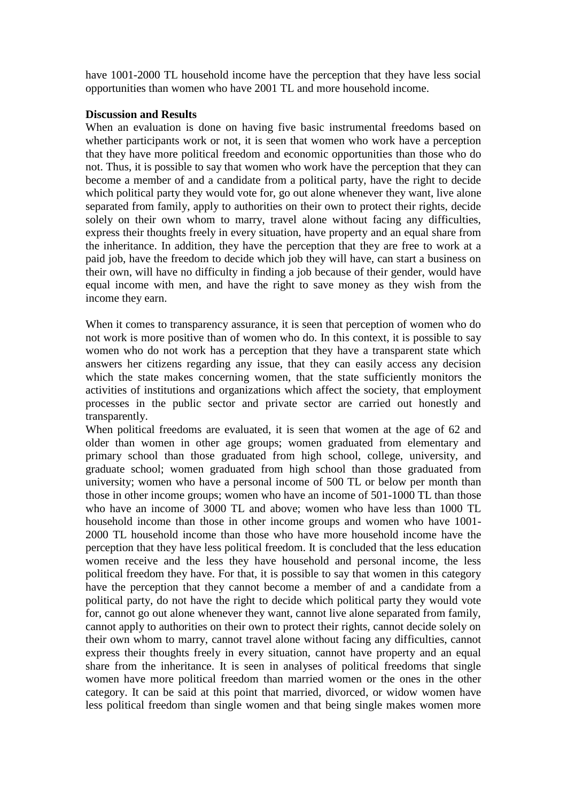have 1001-2000 TL household income have the perception that they have less social opportunities than women who have 2001 TL and more household income.

### **Discussion and Results**

When an evaluation is done on having five basic instrumental freedoms based on whether participants work or not, it is seen that women who work have a perception that they have more political freedom and economic opportunities than those who do not. Thus, it is possible to say that women who work have the perception that they can become a member of and a candidate from a political party, have the right to decide which political party they would vote for, go out alone whenever they want, live alone separated from family, apply to authorities on their own to protect their rights, decide solely on their own whom to marry, travel alone without facing any difficulties, express their thoughts freely in every situation, have property and an equal share from the inheritance. In addition, they have the perception that they are free to work at a paid job, have the freedom to decide which job they will have, can start a business on their own, will have no difficulty in finding a job because of their gender, would have equal income with men, and have the right to save money as they wish from the income they earn.

When it comes to transparency assurance, it is seen that perception of women who do not work is more positive than of women who do. In this context, it is possible to say women who do not work has a perception that they have a transparent state which answers her citizens regarding any issue, that they can easily access any decision which the state makes concerning women, that the state sufficiently monitors the activities of institutions and organizations which affect the society, that employment processes in the public sector and private sector are carried out honestly and transparently.

When political freedoms are evaluated, it is seen that women at the age of 62 and older than women in other age groups; women graduated from elementary and primary school than those graduated from high school, college, university, and graduate school; women graduated from high school than those graduated from university; women who have a personal income of 500 TL or below per month than those in other income groups; women who have an income of 501-1000 TL than those who have an income of 3000 TL and above; women who have less than 1000 TL household income than those in other income groups and women who have 1001- 2000 TL household income than those who have more household income have the perception that they have less political freedom. It is concluded that the less education women receive and the less they have household and personal income, the less political freedom they have. For that, it is possible to say that women in this category have the perception that they cannot become a member of and a candidate from a political party, do not have the right to decide which political party they would vote for, cannot go out alone whenever they want, cannot live alone separated from family, cannot apply to authorities on their own to protect their rights, cannot decide solely on their own whom to marry, cannot travel alone without facing any difficulties, cannot express their thoughts freely in every situation, cannot have property and an equal share from the inheritance. It is seen in analyses of political freedoms that single women have more political freedom than married women or the ones in the other category. It can be said at this point that married, divorced, or widow women have less political freedom than single women and that being single makes women more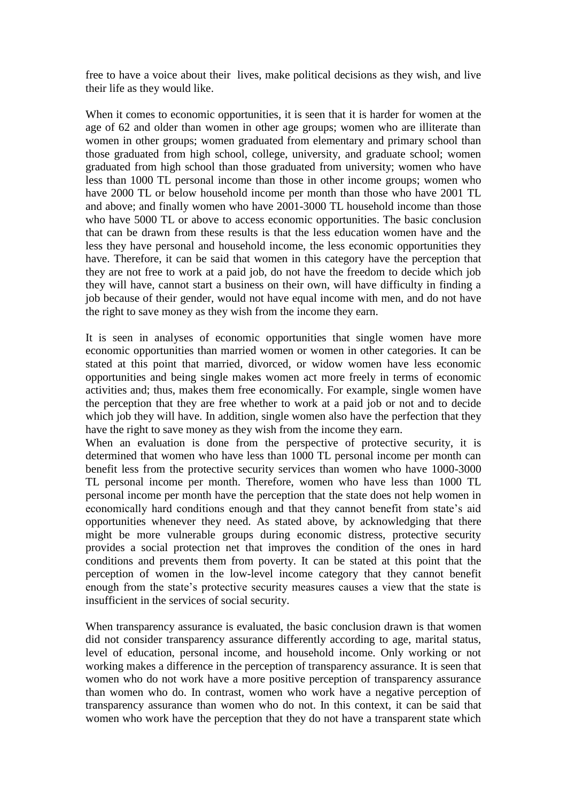free to have a voice about their lives, make political decisions as they wish, and live their life as they would like.

When it comes to economic opportunities, it is seen that it is harder for women at the age of 62 and older than women in other age groups; women who are illiterate than women in other groups; women graduated from elementary and primary school than those graduated from high school, college, university, and graduate school; women graduated from high school than those graduated from university; women who have less than 1000 TL personal income than those in other income groups; women who have 2000 TL or below household income per month than those who have 2001 TL and above; and finally women who have 2001-3000 TL household income than those who have 5000 TL or above to access economic opportunities. The basic conclusion that can be drawn from these results is that the less education women have and the less they have personal and household income, the less economic opportunities they have. Therefore, it can be said that women in this category have the perception that they are not free to work at a paid job, do not have the freedom to decide which job they will have, cannot start a business on their own, will have difficulty in finding a job because of their gender, would not have equal income with men, and do not have the right to save money as they wish from the income they earn.

It is seen in analyses of economic opportunities that single women have more economic opportunities than married women or women in other categories. It can be stated at this point that married, divorced, or widow women have less economic opportunities and being single makes women act more freely in terms of economic activities and; thus, makes them free economically. For example, single women have the perception that they are free whether to work at a paid job or not and to decide which job they will have. In addition, single women also have the perfection that they have the right to save money as they wish from the income they earn.

When an evaluation is done from the perspective of protective security, it is determined that women who have less than 1000 TL personal income per month can benefit less from the protective security services than women who have 1000-3000 TL personal income per month. Therefore, women who have less than 1000 TL personal income per month have the perception that the state does not help women in economically hard conditions enough and that they cannot benefit from state's aid opportunities whenever they need. As stated above, by acknowledging that there might be more vulnerable groups during economic distress, protective security provides a social protection net that improves the condition of the ones in hard conditions and prevents them from poverty. It can be stated at this point that the perception of women in the low-level income category that they cannot benefit enough from the state's protective security measures causes a view that the state is insufficient in the services of social security.

When transparency assurance is evaluated, the basic conclusion drawn is that women did not consider transparency assurance differently according to age, marital status, level of education, personal income, and household income. Only working or not working makes a difference in the perception of transparency assurance. It is seen that women who do not work have a more positive perception of transparency assurance than women who do. In contrast, women who work have a negative perception of transparency assurance than women who do not. In this context, it can be said that women who work have the perception that they do not have a transparent state which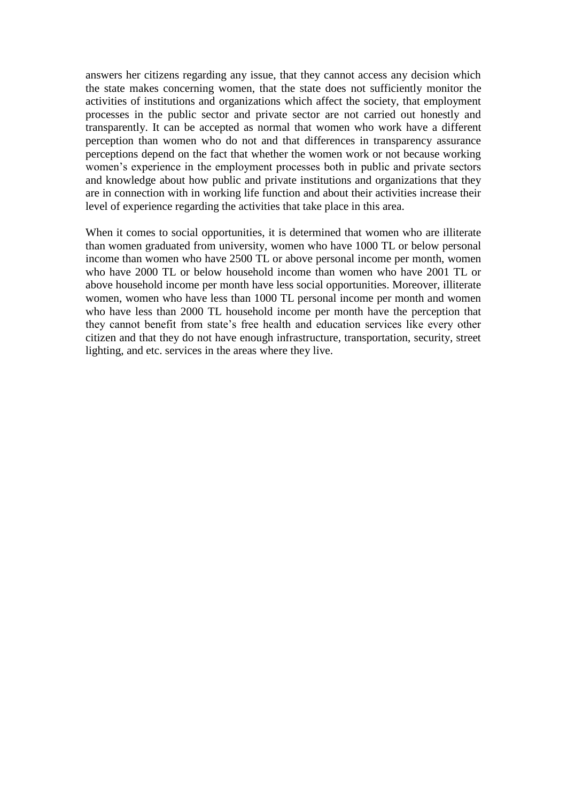answers her citizens regarding any issue, that they cannot access any decision which the state makes concerning women, that the state does not sufficiently monitor the activities of institutions and organizations which affect the society, that employment processes in the public sector and private sector are not carried out honestly and transparently. It can be accepted as normal that women who work have a different perception than women who do not and that differences in transparency assurance perceptions depend on the fact that whether the women work or not because working women's experience in the employment processes both in public and private sectors and knowledge about how public and private institutions and organizations that they are in connection with in working life function and about their activities increase their level of experience regarding the activities that take place in this area.

When it comes to social opportunities, it is determined that women who are illiterate than women graduated from university, women who have 1000 TL or below personal income than women who have 2500 TL or above personal income per month, women who have 2000 TL or below household income than women who have 2001 TL or above household income per month have less social opportunities. Moreover, illiterate women, women who have less than 1000 TL personal income per month and women who have less than 2000 TL household income per month have the perception that they cannot benefit from state's free health and education services like every other citizen and that they do not have enough infrastructure, transportation, security, street lighting, and etc. services in the areas where they live.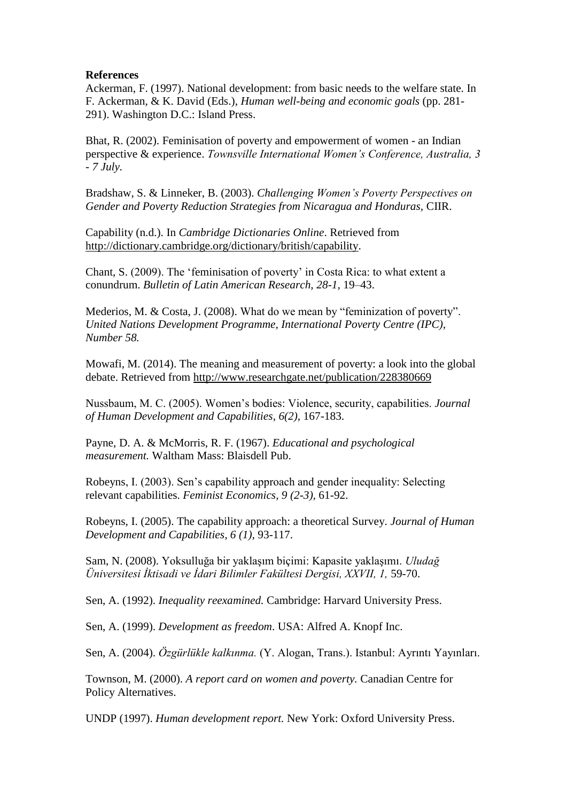### **References**

Ackerman, F. (1997). National development: from basic needs to the welfare state. In F. Ackerman, & K. David (Eds.), *Human well-being and economic goals* (pp. 281- 291). Washington D.C.: Island Press.

Bhat, R. (2002). Feminisation of poverty and empowerment of women - an Indian perspective & experience. *Townsville International Women's Conference, Australia, 3 - 7 July.*

Bradshaw, S. & Linneker, B. (2003). *Challenging Women's Poverty Perspectives on Gender and Poverty Reduction Strategies from Nicaragua and Honduras,* CIIR.

Capability (n.d.). In *Cambridge Dictionaries Online*. Retrieved from [http://dictionary.cambridge.org/dictionary/british/capability.](http://dictionary.cambridge.org/dictionary/british/capability)

Chant, S. (2009). The 'feminisation of poverty' in Costa Rica: to what extent a conundrum. *Bulletin of Latin American Research, 28-1,* 19–43.

Mederios, M. & Costa, J. (2008). What do we mean by "feminization of poverty". *United Nations Development Programme, International Poverty Centre (IPC), Number 58.*

Mowafi, M. (2014). The meaning and measurement of poverty: a look into the global debate. Retrieved from [http://www.researchgate.net/publication/228380669](http://www.researchgate.net/publication/228380669_The_Meaning_and_Measurement_of_Poverty_A_Look_into_the_Global_Debate)

Nussbaum, M. C. (2005). Women's bodies: Violence, security, capabilities. *Journal of Human Development and Capabilities, 6(2),* 167-183.

Payne, D. A. & McMorris, R. F. (1967). *Educational and psychological measurement.* Waltham Mass: Blaisdell Pub.

Robeyns, I. (2003). Sen's capability approach and gender inequality: Selecting relevant capabilities. *Feminist Economics, 9 (2-3),* 61-92.

Robeyns, I. (2005). The capability approach: a theoretical Survey. *Journal of Human Development and Capabilities, 6 (1),* 93-117.

Sam, N. (2008). Yoksulluğa bir yaklaşım biçimi: Kapasite yaklaşımı. *Uludağ Üniversitesi İktisadi ve İdari Bilimler Fakültesi Dergisi, XXVII, 1,* 59-70.

Sen, A. (1992). *Inequality reexamined.* Cambridge: Harvard University Press.

Sen, A. (1999). *Development as freedom*. USA: Alfred A. Knopf Inc.

Sen, A. (2004). *Özgürlükle kalkınma.* (Y. Alogan, Trans.). Istanbul: Ayrıntı Yayınları.

Townson, M. (2000). *A report card on women and poverty.* Canadian Centre for Policy Alternatives.

UNDP (1997). *Human development report.* New York: Oxford University Press.